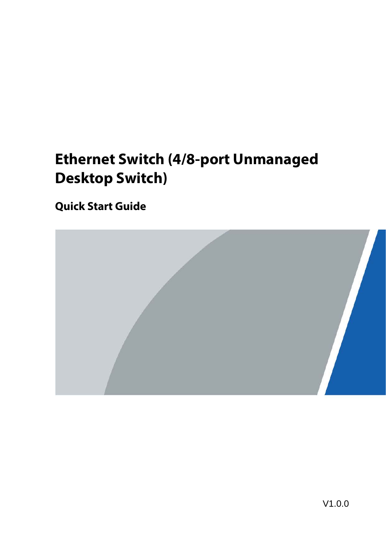# **Ethernet Switch (4/8-port Unmanaged Desktop Switch)**

**Quick Start Guide**

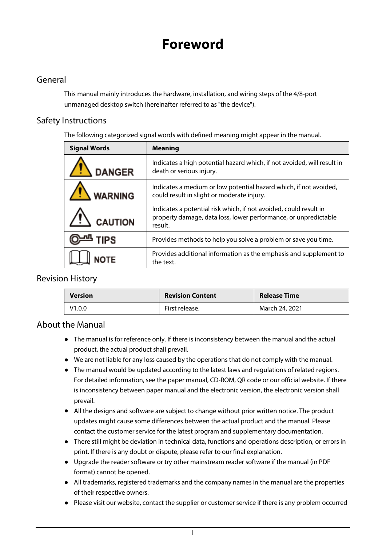# **Foreword**

### <span id="page-1-0"></span>General

This manual mainly introduces the hardware, installation, and wiring steps of the 4/8-port unmanaged desktop switch (hereinafter referred to as "the device").

### Safety Instructions

The following categorized signal words with defined meaning might appear in the manual.

| <b>Signal Words</b> | <b>Meaning</b>                                                                                                                                  |
|---------------------|-------------------------------------------------------------------------------------------------------------------------------------------------|
| <b>DANGER</b>       | Indicates a high potential hazard which, if not avoided, will result in<br>death or serious injury.                                             |
| <b>WARNING</b>      | Indicates a medium or low potential hazard which, if not avoided,<br>could result in slight or moderate injury.                                 |
| <b>CAUTION</b>      | Indicates a potential risk which, if not avoided, could result in<br>property damage, data loss, lower performance, or unpredictable<br>result. |
| <b>IPS</b>          | Provides methods to help you solve a problem or save you time.                                                                                  |
|                     | Provides additional information as the emphasis and supplement to<br>the text.                                                                  |

### Revision History

| <b>Version</b> | <b>Revision Content</b> | <b>Release Time</b> |
|----------------|-------------------------|---------------------|
| V1.0.0         | First release.          | March 24, 2021      |

### About the Manual

- The manual is for reference only. If there is inconsistency between the manual and the actual product, the actual product shall prevail.
- We are not liable for any loss caused by the operations that do not comply with the manual.
- The manual would be updated according to the latest laws and regulations of related regions. For detailed information, see the paper manual, CD-ROM, QR code or our official website. If there is inconsistency between paper manual and the electronic version, the electronic version shall prevail.
- All the designs and software are subject to change without prior written notice. The product updates might cause some differences between the actual product and the manual. Please contact the customer service for the latest program and supplementary documentation.
- There still might be deviation in technical data, functions and operations description, or errors in print. If there is any doubt or dispute, please refer to our final explanation.
- Upgrade the reader software or try other mainstream reader software if the manual (in PDF format) cannot be opened.
- All trademarks, registered trademarks and the company names in the manual are the properties of their respective owners.
- Please visit our website, contact the supplier or customer service if there is any problem occurred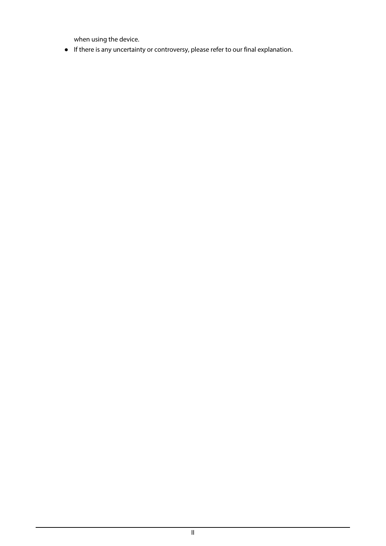when using the device.

● If there is any uncertainty or controversy, please refer to our final explanation.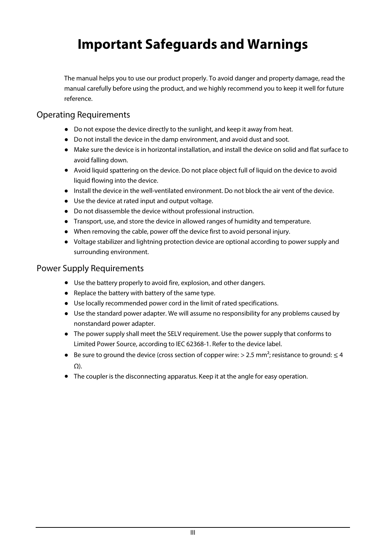# <span id="page-3-0"></span>**Important Safeguards and Warnings**

The manual helps you to use our product properly. To avoid danger and property damage, read the manual carefully before using the product, and we highly recommend you to keep it well for future reference.

### Operating Requirements

- Do not expose the device directly to the sunlight, and keep it away from heat.
- Do not install the device in the damp environment, and avoid dust and soot.
- Make sure the device is in horizontal installation, and install the device on solid and flat surface to avoid falling down.
- Avoid liquid spattering on the device. Do not place object full of liquid on the device to avoid liquid flowing into the device.
- Install the device in the well-ventilated environment. Do not block the air vent of the device.
- Use the device at rated input and output voltage.
- Do not disassemble the device without professional instruction.
- Transport, use, and store the device in allowed ranges of humidity and temperature.
- When removing the cable, power off the device first to avoid personal injury.
- Voltage stabilizer and lightning protection device are optional according to power supply and surrounding environment.

### Power Supply Requirements

- Use the battery properly to avoid fire, explosion, and other dangers.
- Replace the battery with battery of the same type.
- Use locally recommended power cord in the limit of rated specifications.
- Use the standard power adapter. We will assume no responsibility for any problems caused by nonstandard power adapter.
- The power supply shall meet the SELV requirement. Use the power supply that conforms to Limited Power Source, according to IEC 62368-1. Refer to the device label.
- $\bullet$  Be sure to ground the device (cross section of copper wire: > 2.5 mm<sup>2</sup>; resistance to ground: ≤ 4 Ω).
- The coupler is the disconnecting apparatus. Keep it at the angle for easy operation.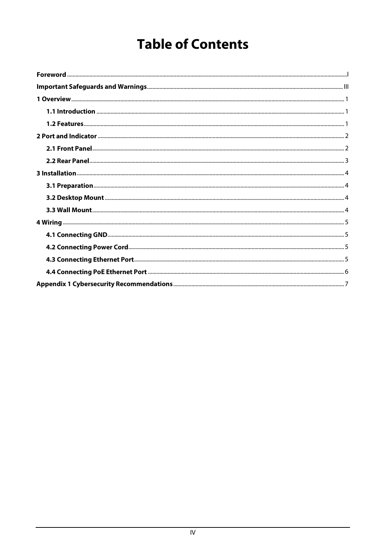# **Table of Contents**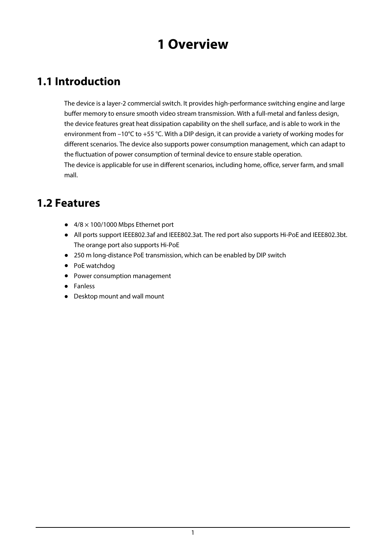## **1 Overview**

## <span id="page-5-1"></span><span id="page-5-0"></span>**1.1 Introduction**

The device is a layer-2 commercial switch. It provides high-performance switching engine and large buffer memory to ensure smooth video stream transmission. With a full-metal and fanless design, the device features great heat dissipation capability on the shell surface, and is able to work in the environment from –10°C to +55 °C. With a DIP design, it can provide a variety of working modes for different scenarios. The device also supports power consumption management, which can adapt to the fluctuation of power consumption of terminal device to ensure stable operation. The device is applicable for use in different scenarios, including home, office, server farm, and small mall.

### <span id="page-5-2"></span>**1.2 Features**

- $\bullet$  4/8  $\times$  100/1000 Mbps Ethernet port
- All ports support IEEE802.3af and IEEE802.3at. The red port also supports Hi-PoE and IEEE802.3bt. The orange port also supports Hi-PoE
- 250 m long-distance PoE transmission, which can be enabled by DIP switch
- PoE watchdog
- Power consumption management
- Fanless
- Desktop mount and wall mount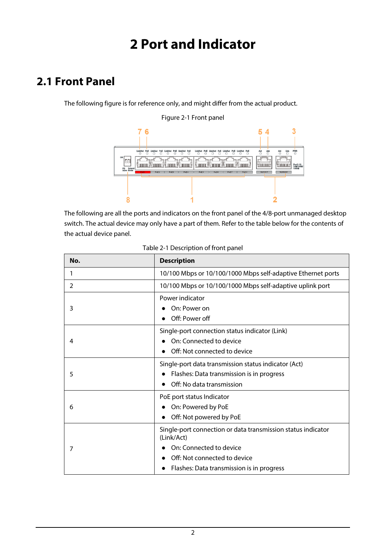# **2 Port and Indicator**

## <span id="page-6-1"></span><span id="page-6-0"></span>**2.1 Front Panel**

The following figure is for reference only, and might differ from the actual product.



### Figure 2-1 Front panel

The following are all the ports and indicators on the front panel of the 4/8-port unmanaged desktop switch. The actual device may only have a part of them. Refer to the table below for the contents of the actual device panel.

| No.           | <b>Description</b>                                                                                                                                                                 |  |
|---------------|------------------------------------------------------------------------------------------------------------------------------------------------------------------------------------|--|
| 1             | 10/100 Mbps or 10/100/1000 Mbps self-adaptive Ethernet ports                                                                                                                       |  |
| $\mathcal{P}$ | 10/100 Mbps or 10/100/1000 Mbps self-adaptive uplink port                                                                                                                          |  |
| 3             | Power indicator<br>On: Power on<br>Off: Power off                                                                                                                                  |  |
| 4             | Single-port connection status indicator (Link)<br>On: Connected to device<br>Off: Not connected to device                                                                          |  |
| 5             | Single-port data transmission status indicator (Act)<br>Flashes: Data transmission is in progress<br>Off: No data transmission                                                     |  |
| 6             | PoE port status Indicator<br>On: Powered by PoE<br>Off: Not powered by PoE                                                                                                         |  |
| 7             | Single-port connection or data transmission status indicator<br>(Link/Act)<br>On: Connected to device<br>Off: Not connected to device<br>Flashes: Data transmission is in progress |  |

|  |  | Table 2-1 Description of front panel |  |
|--|--|--------------------------------------|--|
|--|--|--------------------------------------|--|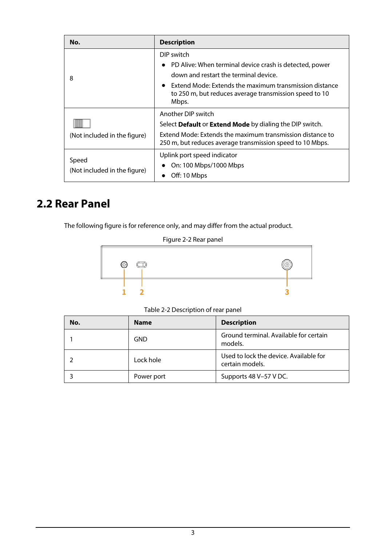| No.                                   | <b>Description</b>                                                                                                        |  |
|---------------------------------------|---------------------------------------------------------------------------------------------------------------------------|--|
|                                       | DIP switch                                                                                                                |  |
|                                       | PD Alive: When terminal device crash is detected, power                                                                   |  |
| 8                                     | down and restart the terminal device.                                                                                     |  |
|                                       | Extend Mode: Extends the maximum transmission distance<br>to 250 m, but reduces average transmission speed to 10<br>Mbps. |  |
|                                       | Another DIP switch                                                                                                        |  |
| (Not included in the figure)          | Select Default or Extend Mode by dialing the DIP switch.                                                                  |  |
|                                       | Extend Mode: Extends the maximum transmission distance to<br>250 m, but reduces average transmission speed to 10 Mbps.    |  |
|                                       | Uplink port speed indicator                                                                                               |  |
| Speed<br>(Not included in the figure) | On: 100 Mbps/1000 Mbps                                                                                                    |  |
|                                       | Off: 10 Mbps                                                                                                              |  |

## <span id="page-7-0"></span>**2.2 Rear Panel**

The following figure is for reference only, and may differ from the actual product.

| Figure 2-2 Rear panel |
|-----------------------|
|-----------------------|



Table 2-2 Description of rear panel

| No. | <b>Name</b> | <b>Description</b>                                        |
|-----|-------------|-----------------------------------------------------------|
|     | <b>GND</b>  | Ground terminal. Available for certain<br>models.         |
|     | Lock hole   | Used to lock the device. Available for<br>certain models. |
|     | Power port  | Supports 48 V-57 V DC.                                    |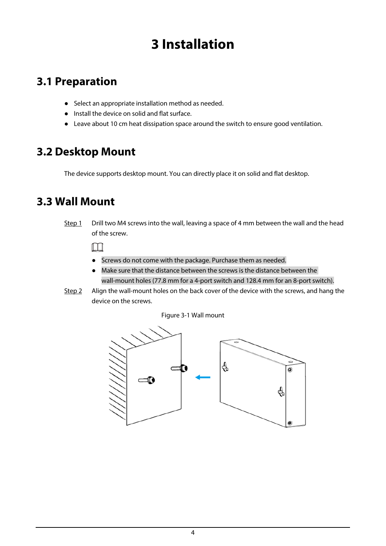# **3 Installation**

## <span id="page-8-1"></span><span id="page-8-0"></span>**3.1 Preparation**

- Select an appropriate installation method as needed.
- Install the device on solid and flat surface.
- Leave about 10 cm heat dissipation space around the switch to ensure good ventilation.

### <span id="page-8-2"></span>**3.2 Desktop Mount**

The device supports desktop mount. You can directly place it on solid and flat desktop.

## <span id="page-8-3"></span>**3.3 Wall Mount**

Step 1 Drill two M4 screws into the wall, leaving a space of 4 mm between the wall and the head of the screw.

 $\square$ 

- Screws do not come with the package. Purchase them as needed.
- Make sure that the distance between the screws is the distance between the wall-mount holes (77.8 mm for a 4-port switch and 128.4 mm for an 8-port switch).
- Step 2 Align the wall-mount holes on the back cover of the device with the screws, and hang the device on the screws.

Figure 3-1 Wall mount

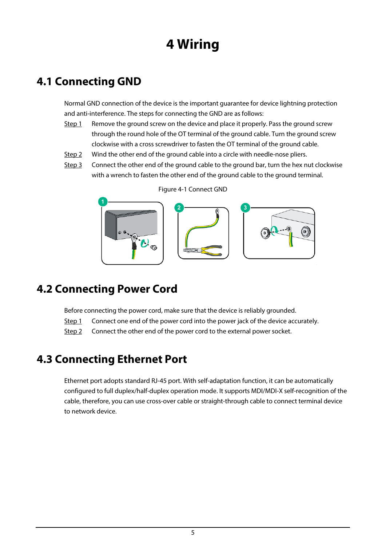# **4 Wiring**

## <span id="page-9-1"></span><span id="page-9-0"></span>**4.1 Connecting GND**

Normal GND connection of the device is the important guarantee for device lightning protection and anti-interference. The steps for connecting the GND are as follows:

- Step 1 Remove the ground screw on the device and place it properly. Pass the ground screw through the round hole of the OT terminal of the ground cable. Turn the ground screw clockwise with a cross screwdriver to fasten the OT terminal of the ground cable.
- Step 2 Wind the other end of the ground cable into a circle with needle-nose pliers.
- Step 3 Connect the other end of the ground cable to the ground bar, turn the hex nut clockwise with a wrench to fasten the other end of the ground cable to the ground terminal.



Figure 4-1 Connect GND

## <span id="page-9-2"></span>**4.2 Connecting Power Cord**

Before connecting the power cord, make sure that the device is reliably grounded.

- Step 1 Connect one end of the power cord into the power jack of the device accurately.
- Step 2 Connect the other end of the power cord to the external power socket.

### <span id="page-9-3"></span>**4.3 Connecting Ethernet Port**

Ethernet port adopts standard RJ-45 port. With self-adaptation function, it can be automatically configured to full duplex/half-duplex operation mode. It supports MDI/MDI-X self-recognition of the cable, therefore, you can use cross-over cable or straight-through cable to connect terminal device to network device.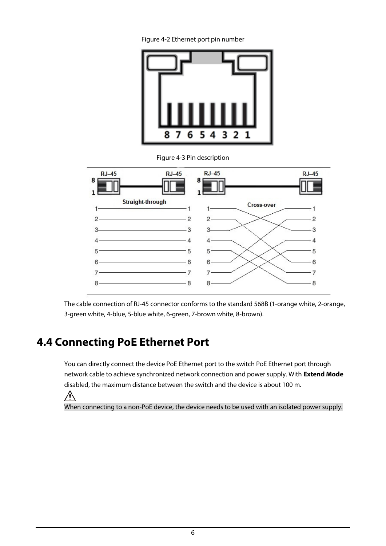Figure 4-2 Ethernet port pin number



Figure 4-3 Pin description



The cable connection of RJ-45 connector conforms to the standard 568B (1-orange white, 2-orange, 3-green white, 4-blue, 5-blue white, 6-green, 7-brown white, 8-brown).

## <span id="page-10-0"></span>**4.4 Connecting PoE Ethernet Port**

You can directly connect the device PoE Ethernet port to the switch PoE Ethernet port through network cable to achieve synchronized network connection and power supply. With **Extend Mode** disabled, the maximum distance between the switch and the device is about 100 m.

∕ዮ

When connecting to a non-PoE device, the device needs to be used with an isolated power supply.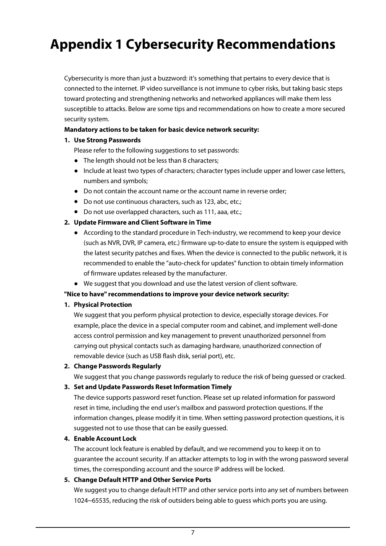# <span id="page-11-0"></span>**Appendix 1 Cybersecurity Recommendations**

Cybersecurity is more than just a buzzword: it's something that pertains to every device that is connected to the internet. IP video surveillance is not immune to cyber risks, but taking basic steps toward protecting and strengthening networks and networked appliances will make them less susceptible to attacks. Below are some tips and recommendations on how to create a more secured security system.

### **Mandatory actions to be taken for basic device network security:**

### **1. Use Strong Passwords**

Please refer to the following suggestions to set passwords:

- The length should not be less than 8 characters;
- Include at least two types of characters; character types include upper and lower case letters, numbers and symbols;
- Do not contain the account name or the account name in reverse order;
- Do not use continuous characters, such as 123, abc, etc.;
- Do not use overlapped characters, such as 111, aaa, etc.;

### **2. Update Firmware and Client Software in Time**

- According to the standard procedure in Tech-industry, we recommend to keep your device (such as NVR, DVR, IP camera, etc.) firmware up-to-date to ensure the system is equipped with the latest security patches and fixes. When the device is connected to the public network, it is recommended to enable the "auto-check for updates" function to obtain timely information of firmware updates released by the manufacturer.
- We suggest that you download and use the latest version of client software.

### **"Nice to have" recommendations to improve your device network security:**

#### **1. Physical Protection**

We suggest that you perform physical protection to device, especially storage devices. For example, place the device in a special computer room and cabinet, and implement well-done access control permission and key management to prevent unauthorized personnel from carrying out physical contacts such as damaging hardware, unauthorized connection of removable device (such as USB flash disk, serial port), etc.

### **2. Change Passwords Regularly**

We suggest that you change passwords regularly to reduce the risk of being guessed or cracked.

### **3. Set and Update Passwords Reset Information Timely**

The device supports password reset function. Please set up related information for password reset in time, including the end user's mailbox and password protection questions. If the information changes, please modify it in time. When setting password protection questions, it is suggested not to use those that can be easily guessed.

#### **4. Enable Account Lock**

The account lock feature is enabled by default, and we recommend you to keep it on to guarantee the account security. If an attacker attempts to log in with the wrong password several times, the corresponding account and the source IP address will be locked.

### **5. Change Default HTTP and Other Service Ports**

We suggest you to change default HTTP and other service ports into any set of numbers between 1024~65535, reducing the risk of outsiders being able to guess which ports you are using.